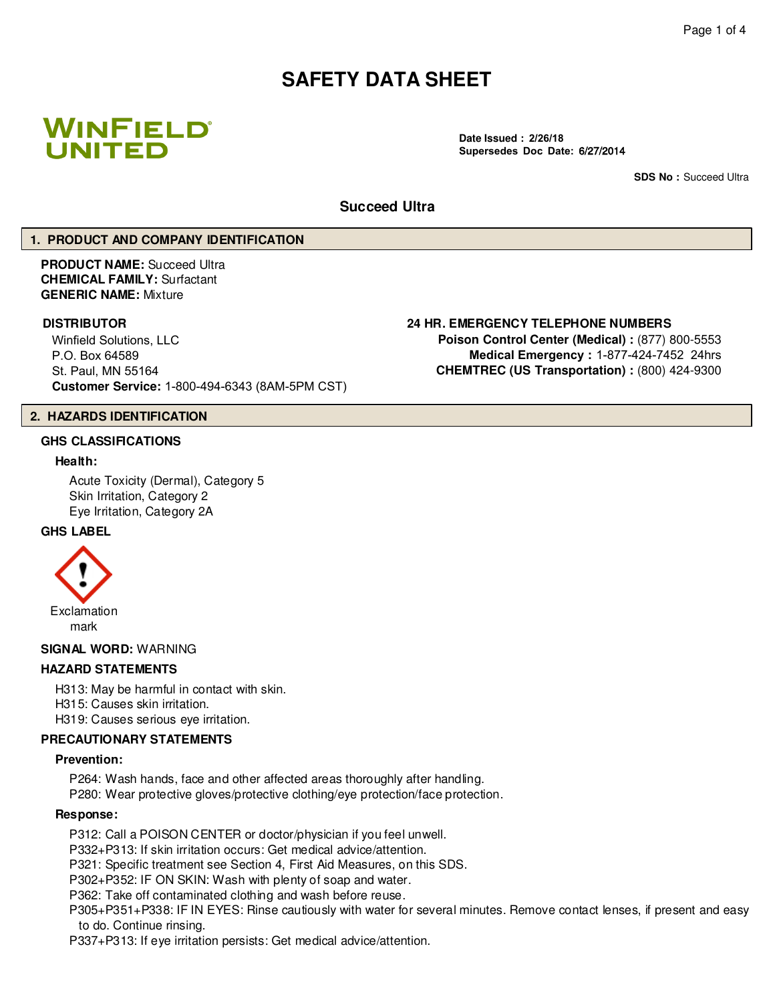# **SAFETY DATA SHEET**



**Date Issued : 2/26/18 Supersedes Doc Date:** 6/27/2014

**SDS No : Succeed Ultra** 

#### **Succeed Ultra**

#### **1. PRODUCT AND COMPANY IDENTIFICATION**

**PRODUCT NAME:** Succeed Ultra **CHEMICAL FAMILY:** Surfactant **GENERIC NAME:** Mixture

## **DISTRIBUTOR 24 HR. EMERGENCY TELEPHONE NUMBERS**

Winfield Solutions, LLC P.O. Box 64589 St. Paul, MN 55164 **Customer Service:** 1-800-494-6343 (8AM-5PM CST)

**Poison Control Center (Medical) :** (877) 800-5553 **Medical Emergency :** 1-877-424-7452 24hrs **CHEMTREC (US Transportation) :** (800) 424-9300

#### **2. HAZARDS IDENTIFICATION**

#### **GHS CLASSIFICATIONS**

#### **Health:**

Acute Toxicity (Dermal), Category 5 Skin Irritation, Category 2 Eye Irritation, Category 2A

## **GHS LABEL**



#### **SIGNAL WORD:** WARNING

#### **HAZARD STATEMENTS**

H313: May be harmful in contact with skin. H315: Causes skin irritation. H319: Causes serious eye irritation.

#### **PRECAUTIONARY STATEMENTS**

#### **Prevention:**

P264: Wash hands, face and other affected areas thoroughly after handling. P280: Wear protective gloves/protective clothing/eye protection/face protection.

#### **Response:**

P312: Call a POISON CENTER or doctor/physician if you feel unwell.

P332+P313: If skin irritation occurs: Get medical advice/attention.

P321: Specific treatment see Section 4, First Aid Measures, on this SDS.

P302+P352: IF ON SKIN: Wash with plenty of soap and water.

P362: Take off contaminated clothing and wash before reuse.

P305+P351+P338: IF IN EYES: Rinse cautiously with water for several minutes. Remove contact lenses, if present and easy to do. Continue rinsing.

P337+P313: If eye irritation persists: Get medical advice/attention.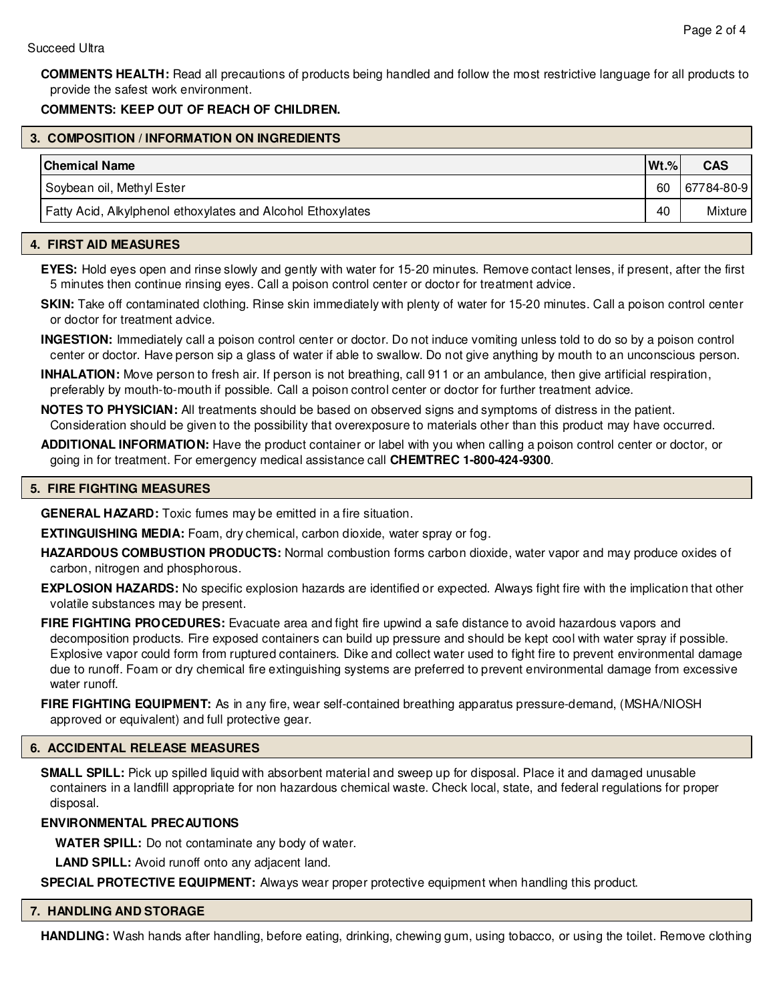**COMMENTS HEALTH:** Read all precautions of products being handled and follow the most restrictive language for all products to provide the safest work environment.

## **COMMENTS: KEEP OUT OF REACH OF CHILDREN.**

## **3. COMPOSITION / INFORMATION ON INGREDIENTS**

| <b>Chemical Name</b>                                        | $Wt.$ % | <b>CAS</b> |
|-------------------------------------------------------------|---------|------------|
| Soybean oil, Methyl Ester                                   | 60      | 67784-80-9 |
| Fatty Acid, Alkylphenol ethoxylates and Alcohol Ethoxylates | 40      | Mixture I  |

## **4. FIRST AID MEASURES**

**EYES:** Hold eyes open and rinse slowly and gently with water for 15-20 minutes. Remove contact lenses, if present, after the first 5 minutes then continue rinsing eyes. Call a poison control center or doctor for treatment advice.

**SKIN:** Take off contaminated clothing. Rinse skin immediately with plenty of water for 15-20 minutes. Call a poison control center or doctor for treatment advice.

**INGESTION:** Immediately call a poison control center or doctor. Do not induce vomiting unless told to do so by a poison control center or doctor. Have person sip a glass of water if able to swallow. Do not give anything by mouth to an unconscious person.

**INHALATION:** Move person to fresh air. If person is not breathing, call 911 or an ambulance, then give artificial respiration, preferably by mouth-to-mouth if possible. Call a poison control center or doctor for further treatment advice.

**NOTES TO PHYSICIAN:** All treatments should be based on observed signs and symptoms of distress in the patient. Consideration should be given to the possibility that overexposure to materials other than this product may have occurred.

**ADDITIONAL INFORMATION:** Have the product container or label with you when calling a poison control center or doctor, or going in for treatment. For emergency medical assistance call **CHEMTREC 1-800-424-9300**.

## **5. FIRE FIGHTING MEASURES**

**GENERAL HAZARD:** Toxic fumes may be emitted in a fire situation.

**EXTINGUISHING MEDIA:** Foam, dry chemical, carbon dioxide, water spray or fog.

**HAZARDOUS COMBUSTION PRODUCTS:** Normal combustion forms carbon dioxide, water vapor and may produce oxides of carbon, nitrogen and phosphorous.

**EXPLOSION HAZARDS:** No specific explosion hazards are identified or expected. Always fight fire with the implication that other volatile substances may be present.

**FIRE FIGHTING PROCEDURES:** Evacuate area and fight fire upwind a safe distance to avoid hazardous vapors and decomposition products. Fire exposed containers can build up pressure and should be kept cool with water spray if possible. Explosive vapor could form from ruptured containers. Dike and collect water used to fight fire to prevent environmental damage due to runoff. Foam or dry chemical fire extinguishing systems are preferred to prevent environmental damage from excessive water runoff.

**FIRE FIGHTING EQUIPMENT:** As in any fire, wear self-contained breathing apparatus pressure-demand, (MSHA/NIOSH approved or equivalent) and full protective gear.

## **6. ACCIDENTAL RELEASE MEASURES**

**SMALL SPILL:** Pick up spilled liquid with absorbent material and sweep up for disposal. Place it and damaged unusable containers in a landfill appropriate for non hazardous chemical waste. Check local, state, and federal regulations for proper disposal.

## **ENVIRONMENTAL PRECAUTIONS**

**WATER SPILL:** Do not contaminate any body of water.

**LAND SPILL:** Avoid runoff onto any adjacent land.

**SPECIAL PROTECTIVE EQUIPMENT:** Always wear proper protective equipment when handling this product.

## **7. HANDLING AND STORAGE**

**HANDLING:** Wash hands after handling, before eating, drinking, chewing gum, using tobacco, or using the toilet. Remove clothing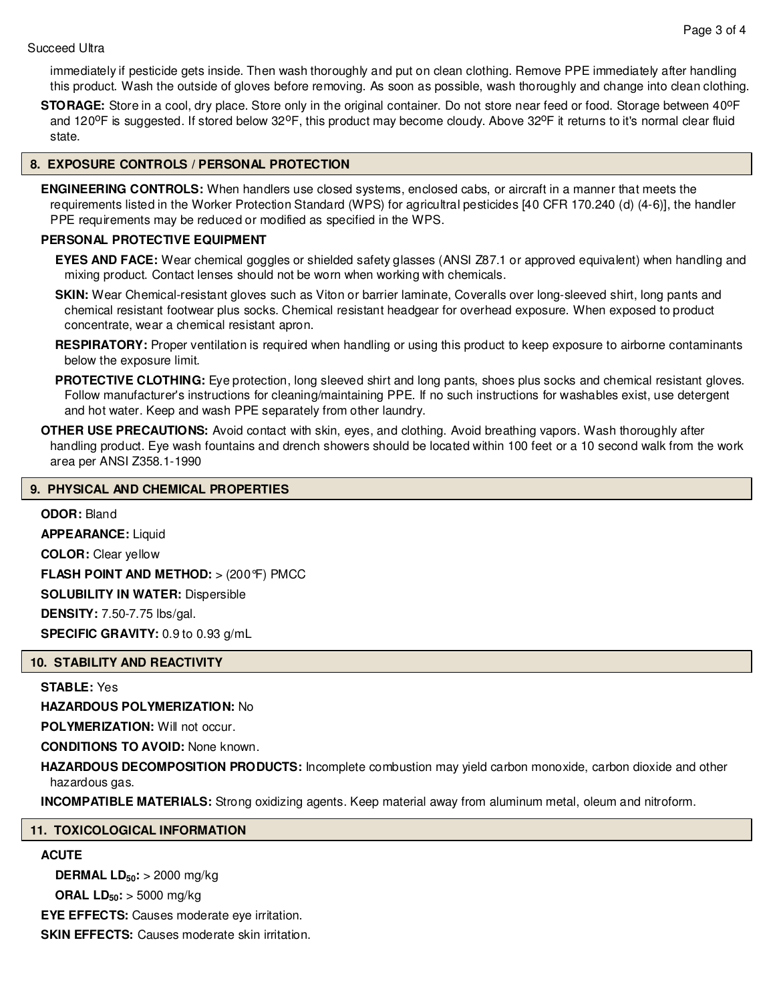immediately if pesticide gets inside. Then wash thoroughly and put on clean clothing. Remove PPE immediately after handling this product. Wash the outside of gloves before removing. As soon as possible, wash thoroughly and change into clean clothing.

**STORAGE:** Store in a cool, dry place. Store only in the original container. Do not store near feed or food. Storage between 40<sup>o</sup>F and 120<sup>o</sup>F is suggested. If stored below 32<sup>o</sup>F, this product may become cloudy. Above 32<sup>o</sup>F it returns to it's normal clear fluid state.

## **8. EXPOSURE CONTROLS / PERSONAL PROTECTION**

**ENGINEERING CONTROLS:** When handlers use closed systems, enclosed cabs, or aircraft in a manner that meets the requirements listed in the Worker Protection Standard (WPS) for agricultral pesticides [40 CFR 170.240 (d) (4-6)], the handler PPE requirements may be reduced or modified as specified in the WPS.

## **PERSONAL PROTECTIVE EQUIPMENT**

**EYES AND FACE:** Wear chemical goggles or shielded safety glasses (ANSI Z87.1 or approved equivalent) when handling and mixing product. Contact lenses should not be worn when working with chemicals.

**SKIN:** Wear Chemical-resistant gloves such as Viton or barrier laminate, Coveralls over long-sleeved shirt, long pants and chemical resistant footwear plus socks. Chemical resistant headgear for overhead exposure. When exposed to product concentrate, wear a chemical resistant apron.

**RESPIRATORY:** Proper ventilation is required when handling or using this product to keep exposure to airborne contaminants below the exposure limit.

**PROTECTIVE CLOTHING:** Eye protection, long sleeved shirt and long pants, shoes plus socks and chemical resistant gloves. Follow manufacturer's instructions for cleaning/maintaining PPE. If no such instructions for washables exist, use detergent and hot water. Keep and wash PPE separately from other laundry.

**OTHER USE PRECAUTIONS:** Avoid contact with skin, eyes, and clothing. Avoid breathing vapors. Wash thoroughly after handling product. Eye wash fountains and drench showers should be located within 100 feet or a 10 second walk from the work area per ANSI Z358.1-1990

## **9. PHYSICAL AND CHEMICAL PROPERTIES**

**ODOR:** Bland **APPEARANCE:** Liquid **COLOR:** Clear yellow **FLASH POINT AND METHOD:** > (200°F) PMCC **SOLUBILITY IN WATER:** Dispersible **DENSITY:** 7.50-7.75 lbs/gal. **SPECIFIC GRAVITY:** 0.9 to 0.93 g/mL

## **10. STABILITY AND REACTIVITY**

**STABLE:** Yes

**HAZARDOUS POLYMERIZATION:** No

**POLYMERIZATION:** Will not occur.

**CONDITIONS TO AVOID:** None known.

**HAZARDOUS DECOMPOSITION PRODUCTS:** Incomplete combustion may yield carbon monoxide, carbon dioxide and other hazardous gas.

**INCOMPATIBLE MATERIALS:** Strong oxidizing agents. Keep material away from aluminum metal, oleum and nitroform.

## **11. TOXICOLOGICAL INFORMATION**

## **ACUTE**

**DERMAL LD50:** > 2000 mg/kg **ORAL LD50:** > 5000 mg/kg **EYE EFFECTS:** Causes moderate eye irritation.

**SKIN EFFECTS:** Causes moderate skin irritation.